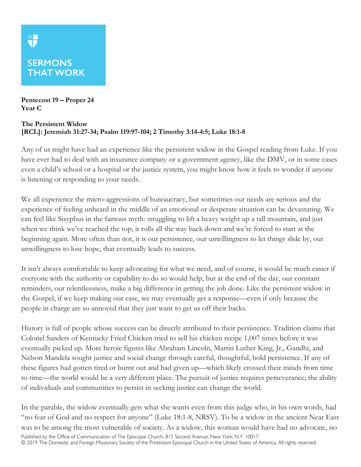## **SERMONS THAT WORK**

**XF** 

**Pentecost 19 – Proper 24 Year C**

## **The Persistent Widow [RCL]: Jeremiah 31:27-34; Psalm 119:97-104; 2 Timothy 3:14-4:5; Luke 18:1-8**

Any of us might have had an experience like the persistent widow in the Gospel reading from Luke. If you have ever had to deal with an insurance company or a government agency, like the DMV, or in some cases even a child's school or a hospital or the justice system, you might know how it feels to wonder if anyone is listening or responding to your needs.

We all experience the micro-aggressions of bureaucracy, but sometimes our needs are serious and the experience of feeling unheard in the middle of an emotional or desperate situation can be devastating. We can feel like Sisyphus in the famous myth: struggling to lift a heavy weight up a tall mountain, and just when we think we've reached the top, it rolls all the way back down and we're forced to start at the beginning again. More often than not, it is our persistence, our unwillingness to let things slide by, our unwillingness to lose hope, that eventually leads to success.

It isn't always comfortable to keep advocating for what we need, and of course, it would be much easier if everyone with the authority or capability to do so would help, but at the end of the day, our constant reminders, our relentlessness, make a big difference in getting the job done. Like the persistent widow in the Gospel, if we keep making our case, we may eventually get a response—even if only because the people in charge are so annoyed that they just want to get us off their backs.

History is full of people whose success can be directly attributed to their persistence. Tradition claims that Colonel Sanders of Kentucky Fried Chicken tried to sell his chicken recipe 1,007 times before it was eventually picked up. More heroic figures like Abraham Lincoln, Martin Luther King, Jr., Gandhi, and Nelson Mandela sought justice and social change through careful, thoughtful, bold persistence. If any of these figures had gotten tired or burnt out and had given up—which likely crossed their minds from time to time—the world would be a very different place. The pursuit of justice requires perseverance; the ability of individuals and communities to persist in seeking justice can change the world.

Published by the Office of Communication of The Episcopal Church, 815 Second Avenue, New York, N.Y. 10017 © 2019 The Domestic and Foreign Missionary Society of the Protestant Episcopal Church in the United States of America. All rights reserved. In the parable, the widow eventually gets what she wants even from this judge who, in his own words, had "no fear of God and no respect for anyone" (Luke 18:1-8, NRSV). To be a widow in the ancient Near East was to be among the most vulnerable of society. As a widow, this woman would have had no advocate, no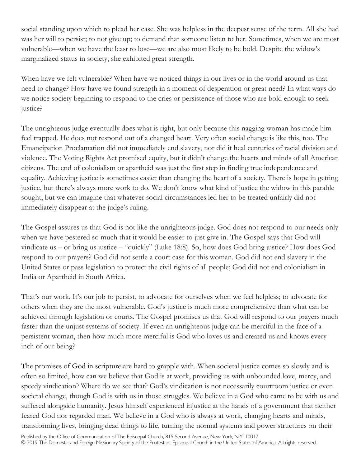social standing upon which to plead her case. She was helpless in the deepest sense of the term. All she had was her will to persist; to not give up; to demand that someone listen to her. Sometimes, when we are most vulnerable—when we have the least to lose—we are also most likely to be bold. Despite the widow's marginalized status in society, she exhibited great strength.

When have we felt vulnerable? When have we noticed things in our lives or in the world around us that need to change? How have we found strength in a moment of desperation or great need? In what ways do we notice society beginning to respond to the cries or persistence of those who are bold enough to seek justice?

The unrighteous judge eventually does what is right, but only because this nagging woman has made him feel trapped. He does not respond out of a changed heart. Very often social change is like this, too. The Emancipation Proclamation did not immediately end slavery, nor did it heal centuries of racial division and violence. The Voting Rights Act promised equity, but it didn't change the hearts and minds of all American citizens. The end of colonialism or apartheid was just the first step in finding true independence and equality. Achieving justice is sometimes easier than changing the heart of a society. There is hope in getting justice, but there's always more work to do. We don't know what kind of justice the widow in this parable sought, but we can imagine that whatever social circumstances led her to be treated unfairly did not immediately disappear at the judge's ruling.

The Gospel assures us that God is not like the unrighteous judge. God does not respond to our needs only when we have pestered so much that it would be easier to just give in. The Gospel says that God will vindicate us – or bring us justice – "quickly" (Luke 18:8). So, how does God bring justice? How does God respond to our prayers? God did not settle a court case for this woman. God did not end slavery in the United States or pass legislation to protect the civil rights of all people; God did not end colonialism in India or Apartheid in South Africa.

That's our work. It's our job to persist, to advocate for ourselves when we feel helpless; to advocate for others when they are the most vulnerable. God's justice is much more comprehensive than what can be achieved through legislation or courts. The Gospel promises us that God will respond to our prayers much faster than the unjust systems of society. If even an unrighteous judge can be merciful in the face of a persistent woman, then how much more merciful is God who loves us and created us and knows every inch of our being?

The promises of God in scripture are hard to grapple with. When societal justice comes so slowly and is often so limited, how can we believe that God is at work, providing us with unbounded love, mercy, and speedy vindication? Where do we see that? God's vindication is not necessarily courtroom justice or even societal change, though God is with us in those struggles. We believe in a God who came to be with us and suffered alongside humanity. Jesus himself experienced injustice at the hands of a government that neither feared God nor regarded man. We believe in a God who is always at work, changing hearts and minds, transforming lives, bringing dead things to life, turning the normal systems and power structures on their